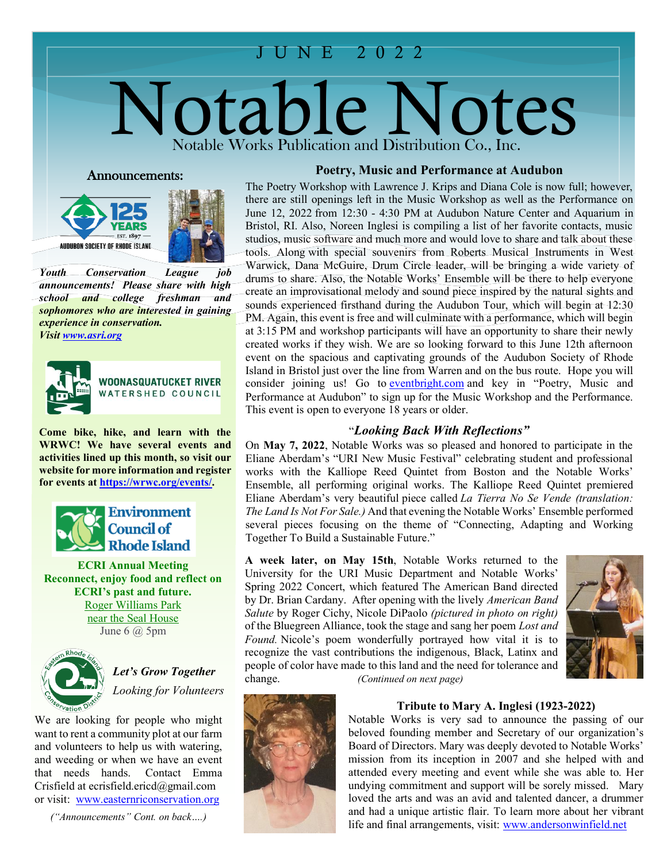# JUNE 2 022

# Notable Notes Notable Works Publication and Distribution Co., Inc.

#### Announcements:





*Youth Conservation League job announcements! Please share with high school and college freshman and sophomores who are interested in gaining experience in conservation. Visi[t www.asri.org](http://www.asri.org/)*



I

WOONASQUATUCKET RIVER WATERSHED COUNCIL

**Come bike, hike, and learn with the WRWC! We have several events and activities lined up this month, so visit our website for more information and register for events at [https://wrwc.org/events/.](https://wrwc.org/events/)**



**ECRI Annual Meeting Reconnect, enjoy food and reflect on ECRI's past and future.** [Roger Williams Park](https://www.environmentcouncilri.org/content/june-2020-ecri-annual-meeting) [near the Seal House](https://www.environmentcouncilri.org/content/june-2020-ecri-annual-meeting) June  $6$   $\omega$  5pm



*Let's Grow Together Looking for Volunteers*

We are looking for people who might want to rent a community plot at our farm and volunteers to help us with watering, and weeding or when we have an event that needs hands. Contact Emma Crisfield at ecrisfield.ericd@gmail.com or visit: [www.easternriconservation.org](http://www.easternriconservation.org/)

*("Announcements" Cont. on back….)*

# **Poetry, Music and Performance at Audubon**

 tools. Along with special souvenirs from Roberts Musical Instruments in West The Poetry Workshop with Lawrence J. Krips and Diana Cole is now full; however, there are still openings left in the Music Workshop as well as the Performance on June 12, 2022 from 12:30 - 4:30 PM at Audubon Nature Center and Aquarium in Bristol, RI. Also, Noreen Inglesi is compiling a list of her favorite contacts, music studios, music software and much more and would love to share and talk about these Warwick, Dana McGuire, Drum Circle leader, will be bringing a wide variety of drums to share. Also, the Notable Works' Ensemble will be there to help everyone create an improvisational melody and sound piece inspired by the natural sights and sounds experienced firsthand during the Audubon Tour, which will begin at 12:30 PM. Again, this event is free and will culminate with a performance, which will begin at 3:15 PM and workshop participants will have an opportunity to share their newly created works if they wish. We are so looking forward to this June 12th afternoon event on the spacious and captivating grounds of the Audubon Society of Rhode Island in Bristol just over the line from Warren and on the bus route. Hope you will consider joining us! Go to [eventbright.com](http://eventbright.com/) and key in "Poetry, Music and Performance at Audubon" to sign up for the Music Workshop and the Performance. This event is open to everyone 18 years or older.

### "*Looking Back With Reflections"*

On **May 7, 2022**, Notable Works was so pleased and honored to participate in the Eliane Aberdam's "URI New Music Festival" celebrating student and professional works with the Kalliope Reed Quintet from Boston and the Notable Works' Ensemble, all performing original works. The Kalliope Reed Quintet premiered Eliane Aberdam's very beautiful piece called *La Tierra No Se Vende (translation: The Land Is Not For Sale.)* And that evening the Notable Works' Ensemble performed several pieces focusing on the theme of "Connecting, Adapting and Working Together To Build a Sustainable Future."

University for the URI Music Department and Notable Works' by Dr. Brian Cardany. After opening with the lively *American Band Salute* by Roger Cichy, Nicole DiPaolo *(pictured in photo on right)* recognize the vast contributions the indigenous, Black, Latinx and **A week later, on May 15th**, Notable Works returned to the Spring 2022 Concert, which featured The American Band directed of the Bluegreen Alliance, took the stage and sang her poem *Lost and Found.* Nicole's poem wonderfully portrayed how vital it is to people of color have made to this land and the need for tolerance and change. *(Continued on next page)* 





#### **Tribute to Mary A. Inglesi (1923-2022)**

Notable Works is very sad to announce the passing of our beloved founding member and Secretary of our organization's Board of Directors. Mary was deeply devoted to Notable Works' mission from its inception in 2007 and she helped with and attended every meeting and event while she was able to. Her undying commitment and support will be sorely missed. Mary loved the arts and was an avid and talented dancer, a drummer and had a unique artistic flair. To learn more about her vibrant life and final arrangements, visit: [www.andersonwinfield.net](http://www.andersonwinfield.net/)